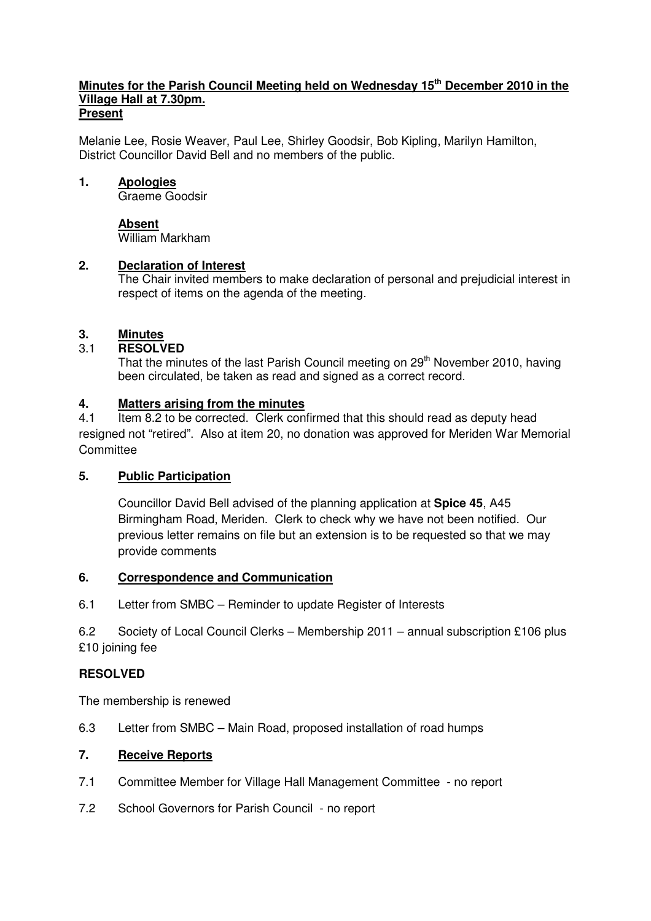#### **Minutes for the Parish Council Meeting held on Wednesday 15th December 2010 in the Village Hall at 7.30pm. Present**

Melanie Lee, Rosie Weaver, Paul Lee, Shirley Goodsir, Bob Kipling, Marilyn Hamilton, District Councillor David Bell and no members of the public.

### **1. Apologies**

Graeme Goodsir

#### **Absent**

William Markham

#### **2. Declaration of Interest**

The Chair invited members to make declaration of personal and prejudicial interest in respect of items on the agenda of the meeting.

#### **3. Minutes**

### 3.1 **RESOLVED**

That the minutes of the last Parish Council meeting on 29<sup>th</sup> November 2010, having been circulated, be taken as read and signed as a correct record.

### **4. Matters arising from the minutes**

4.1 Item 8.2 to be corrected. Clerk confirmed that this should read as deputy head resigned not "retired". Also at item 20, no donation was approved for Meriden War Memorial **Committee** 

#### **5. Public Participation**

 Councillor David Bell advised of the planning application at **Spice 45**, A45 Birmingham Road, Meriden. Clerk to check why we have not been notified. Our previous letter remains on file but an extension is to be requested so that we may provide comments

#### **6. Correspondence and Communication**

6.1 Letter from SMBC – Reminder to update Register of Interests

6.2 Society of Local Council Clerks – Membership 2011 – annual subscription £106 plus £10 joining fee

## **RESOLVED**

The membership is renewed

6.3 Letter from SMBC – Main Road, proposed installation of road humps

### **7. Receive Reports**

- 7.1 Committee Member for Village Hall Management Committee no report
- 7.2 School Governors for Parish Council no report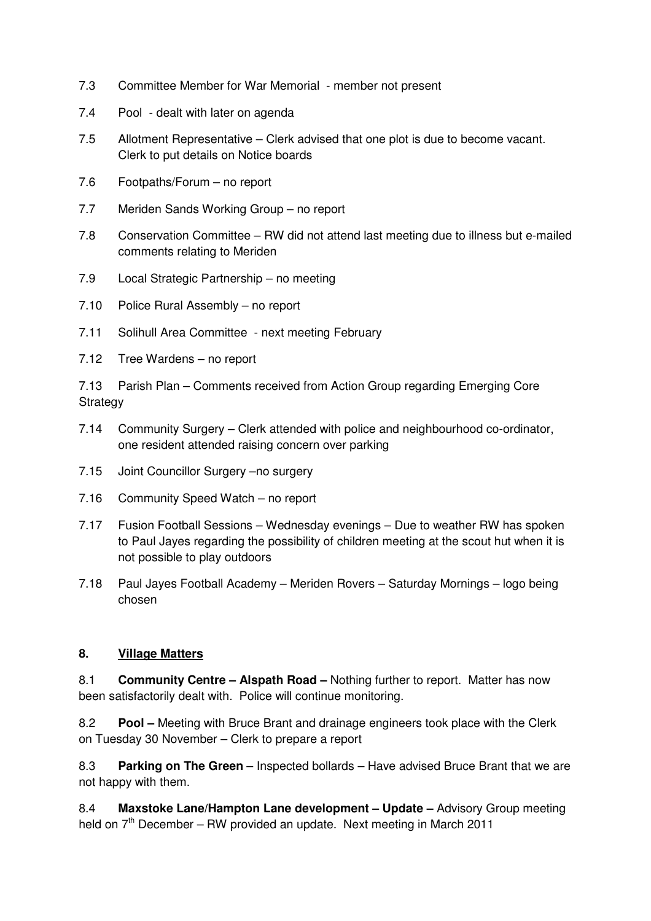- 7.3 Committee Member for War Memorial member not present
- 7.4 Pool dealt with later on agenda
- 7.5 Allotment Representative Clerk advised that one plot is due to become vacant. Clerk to put details on Notice boards
- 7.6 Footpaths/Forum no report
- 7.7 Meriden Sands Working Group no report
- 7.8 Conservation Committee RW did not attend last meeting due to illness but e-mailed comments relating to Meriden
- 7.9 Local Strategic Partnership no meeting
- 7.10 Police Rural Assembly no report
- 7.11 Solihull Area Committee next meeting February
- 7.12 Tree Wardens no report

7.13 Parish Plan – Comments received from Action Group regarding Emerging Core **Strategy** 

- 7.14 Community Surgery Clerk attended with police and neighbourhood co-ordinator, one resident attended raising concern over parking
- 7.15 Joint Councillor Surgery –no surgery
- 7.16 Community Speed Watch no report
- 7.17 Fusion Football Sessions Wednesday evenings Due to weather RW has spoken to Paul Jayes regarding the possibility of children meeting at the scout hut when it is not possible to play outdoors
- 7.18 Paul Jayes Football Academy Meriden Rovers Saturday Mornings logo being chosen

#### **8. Village Matters**

8.1 **Community Centre – Alspath Road –** Nothing further to report. Matter has now been satisfactorily dealt with. Police will continue monitoring.

8.2 **Pool –** Meeting with Bruce Brant and drainage engineers took place with the Clerk on Tuesday 30 November – Clerk to prepare a report

8.3 **Parking on The Green** – Inspected bollards – Have advised Bruce Brant that we are not happy with them.

8.4 **Maxstoke Lane/Hampton Lane development – Update –** Advisory Group meeting held on  $7<sup>th</sup>$  December – RW provided an update. Next meeting in March 2011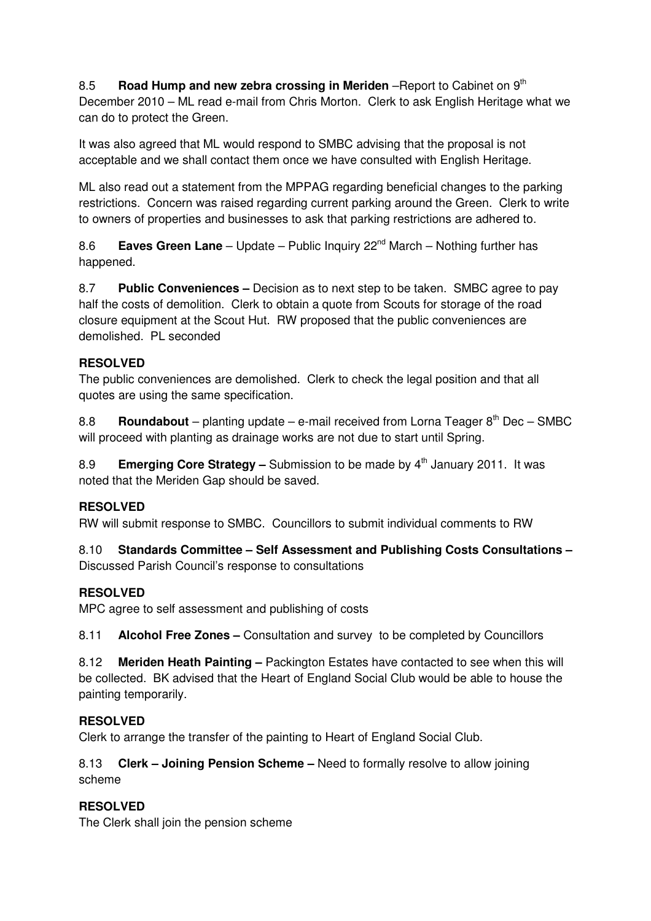8.5 **Road Hump and new zebra crossing in Meriden** –Report to Cabinet on 9<sup>th</sup> December 2010 – ML read e-mail from Chris Morton. Clerk to ask English Heritage what we can do to protect the Green.

It was also agreed that ML would respond to SMBC advising that the proposal is not acceptable and we shall contact them once we have consulted with English Heritage.

ML also read out a statement from the MPPAG regarding beneficial changes to the parking restrictions. Concern was raised regarding current parking around the Green. Clerk to write to owners of properties and businesses to ask that parking restrictions are adhered to.

8.6 **Eaves Green Lane** – Update – Public Inquiry 22<sup>nd</sup> March – Nothing further has happened.

8.7 **Public Conveniences –** Decision as to next step to be taken. SMBC agree to pay half the costs of demolition. Clerk to obtain a quote from Scouts for storage of the road closure equipment at the Scout Hut. RW proposed that the public conveniences are demolished. PL seconded

## **RESOLVED**

The public conveniences are demolished. Clerk to check the legal position and that all quotes are using the same specification.

8.8 **Roundabout** – planting update – e-mail received from Lorna Teager  $8<sup>th</sup>$  Dec – SMBC will proceed with planting as drainage works are not due to start until Spring.

8.9 **Emerging Core Strategy –** Submission to be made by 4<sup>th</sup> January 2011. It was noted that the Meriden Gap should be saved.

# **RESOLVED**

RW will submit response to SMBC. Councillors to submit individual comments to RW

8.10 **Standards Committee – Self Assessment and Publishing Costs Consultations –** Discussed Parish Council's response to consultations

## **RESOLVED**

MPC agree to self assessment and publishing of costs

8.11 **Alcohol Free Zones –** Consultation and survey to be completed by Councillors

8.12 **Meriden Heath Painting –** Packington Estates have contacted to see when this will be collected. BK advised that the Heart of England Social Club would be able to house the painting temporarily.

## **RESOLVED**

Clerk to arrange the transfer of the painting to Heart of England Social Club.

8.13 **Clerk – Joining Pension Scheme –** Need to formally resolve to allow joining scheme

## **RESOLVED**

The Clerk shall join the pension scheme